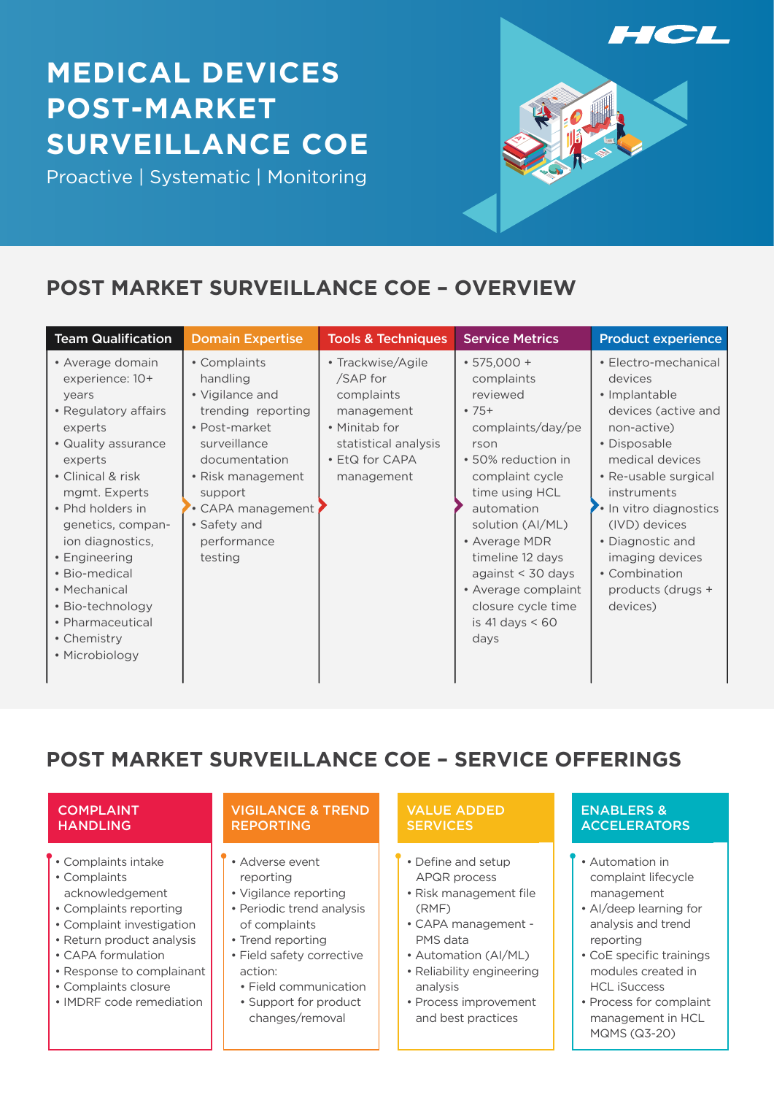# **MEDICAL DEVICES POST-MARKET SURVEILLANCE COE**

Proactive | Systematic | Monitoring



# **POST MARKET SURVEILLANCE COE – OVERVIEW**

| <b>Team Qualification</b>                                                                                                                                                                                                                                                                                                                       | <b>Domain Expertise</b>                                                                                                                                                                                          | <b>Tools &amp; Techniques</b>                                                                                                      | <b>Service Metrics</b>                                                                                                                                                                                                                                                                                                   | <b>Product experience</b>                                                                                                                                                                                                                                                                          |
|-------------------------------------------------------------------------------------------------------------------------------------------------------------------------------------------------------------------------------------------------------------------------------------------------------------------------------------------------|------------------------------------------------------------------------------------------------------------------------------------------------------------------------------------------------------------------|------------------------------------------------------------------------------------------------------------------------------------|--------------------------------------------------------------------------------------------------------------------------------------------------------------------------------------------------------------------------------------------------------------------------------------------------------------------------|----------------------------------------------------------------------------------------------------------------------------------------------------------------------------------------------------------------------------------------------------------------------------------------------------|
| • Average domain<br>experience: 10+<br>years<br>• Regulatory affairs<br>experts<br>• Quality assurance<br>experts<br>• Clinical & risk<br>mgmt. Experts<br>• Phd holders in<br>genetics, compan-<br>ion diagnostics,<br>• Engineering<br>• Bio-medical<br>• Mechanical<br>• Bio-technology<br>• Pharmaceutical<br>• Chemistry<br>• Microbiology | • Complaints<br>handling<br>• Vigilance and<br>trending reporting<br>• Post-market<br>surveillance<br>documentation<br>• Risk management<br>support<br>CAPA management<br>• Safety and<br>performance<br>testing | • Trackwise/Agile<br>/SAP for<br>complaints<br>management<br>• Minitab for<br>statistical analysis<br>• EtQ for CAPA<br>management | $\cdot$ 575,000 +<br>complaints<br>reviewed<br>$•75+$<br>complaints/day/pe<br>rson<br>• 50% reduction in<br>complaint cycle<br>time using HCL<br>automation<br>solution (AI/ML)<br>• Average MDR<br>timeline 12 days<br>against $<$ 30 days<br>• Average complaint<br>closure cycle time<br>is 41 days $\leq 60$<br>days | • Electro-mechanical<br>devices<br>• Implantable<br>devices (active and<br>non-active)<br>• Disposable<br>medical devices<br>• Re-usable surgical<br>instruments<br>In vitro diagnostics<br>(IVD) devices<br>• Diagnostic and<br>imaging devices<br>• Combination<br>products (drugs +<br>devices) |

**POST MARKET SURVEILLANCE COE – SERVICE OFFERINGS**

#### COMPLAINT **HANDLING**

- **f** Complaints intake
- Complaints
- acknowledgement
- Complaints reporting
- Complaint investigation
- Return product analysis
- CAPA formulation • Response to complainant
- Complaints closure
- IMDRF code remediation

#### VIGILANCE & TREND REPORTING

- Adverse event reporting
- Vigilance reporting
- Periodic trend analysis of complaints
- Trend reporting
- Field safety corrective action:
	- Field communication
	- Support for product changes/removal

#### VALUE ADDED **SERVICES**

- Define and setup APQR process
- Risk management file (RMF)
- CAPA management PMS data
- Automation (AI/ML)
- Reliability engineering analysis
- Process improvement and best practices

#### ENABLERS & **ACCELERATORS**

- Automation in complaint lifecycle management
- AI/deep learning for analysis and trend reporting
- CoE specific trainings modules created in HCL iSuccess
- Process for complaint management in HCL MQMS (Q3-20)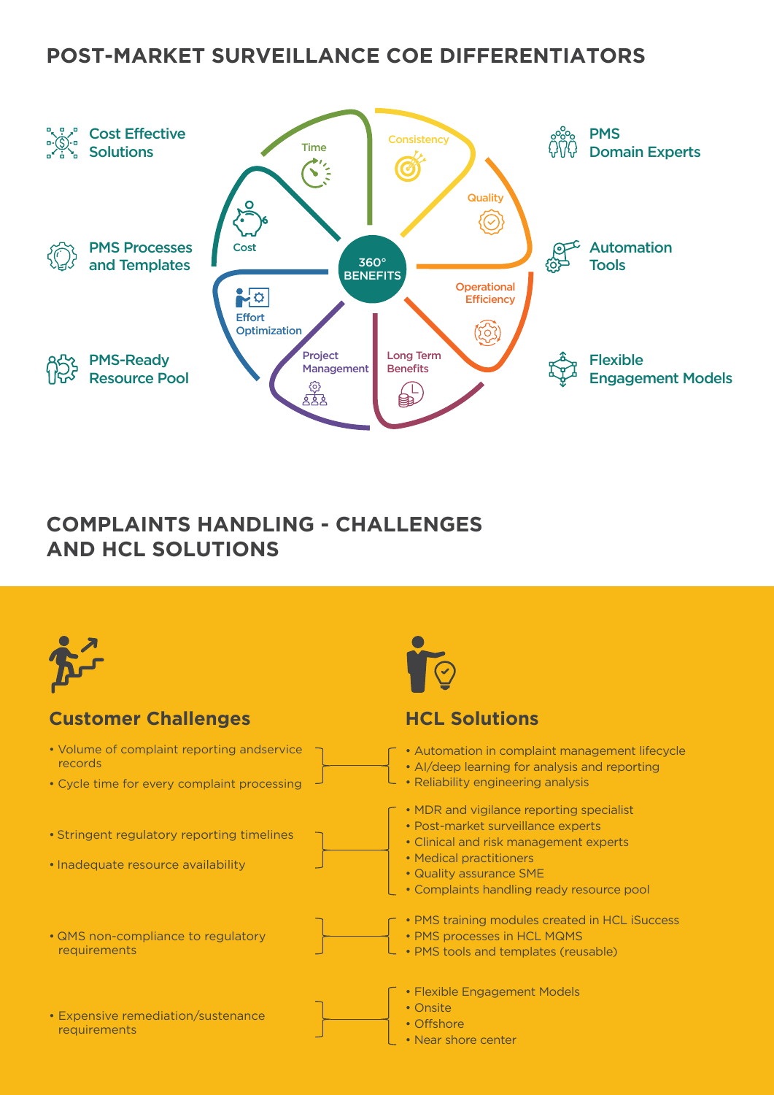### **POST-MARKET SURVEILLANCE COE DIFFERENTIATORS**



# **COMPLAINTS HANDLING - CHALLENGES AND HCL SOLUTIONS**